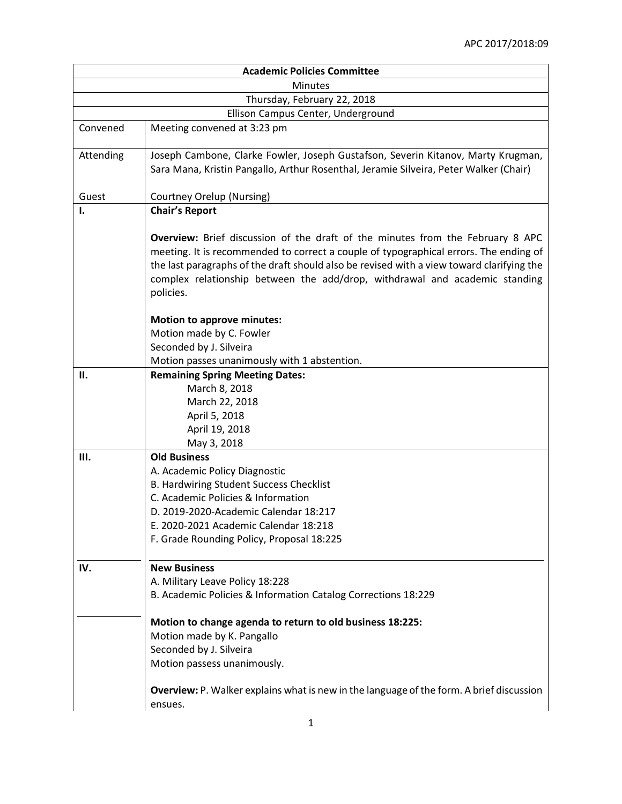| <b>Academic Policies Committee</b> |                                                                                                 |  |
|------------------------------------|-------------------------------------------------------------------------------------------------|--|
| <b>Minutes</b>                     |                                                                                                 |  |
| Thursday, February 22, 2018        |                                                                                                 |  |
| Ellison Campus Center, Underground |                                                                                                 |  |
| Convened                           | Meeting convened at 3:23 pm                                                                     |  |
|                                    |                                                                                                 |  |
| Attending                          | Joseph Cambone, Clarke Fowler, Joseph Gustafson, Severin Kitanov, Marty Krugman,                |  |
|                                    | Sara Mana, Kristin Pangallo, Arthur Rosenthal, Jeramie Silveira, Peter Walker (Chair)           |  |
|                                    |                                                                                                 |  |
| Guest<br>I.                        | Courtney Orelup (Nursing)                                                                       |  |
|                                    | <b>Chair's Report</b>                                                                           |  |
|                                    | <b>Overview:</b> Brief discussion of the draft of the minutes from the February 8 APC           |  |
|                                    | meeting. It is recommended to correct a couple of typographical errors. The ending of           |  |
|                                    | the last paragraphs of the draft should also be revised with a view toward clarifying the       |  |
|                                    | complex relationship between the add/drop, withdrawal and academic standing                     |  |
|                                    | policies.                                                                                       |  |
|                                    |                                                                                                 |  |
|                                    | <b>Motion to approve minutes:</b>                                                               |  |
|                                    | Motion made by C. Fowler                                                                        |  |
|                                    | Seconded by J. Silveira                                                                         |  |
|                                    | Motion passes unanimously with 1 abstention.                                                    |  |
| П.                                 | <b>Remaining Spring Meeting Dates:</b>                                                          |  |
|                                    | March 8, 2018                                                                                   |  |
|                                    | March 22, 2018                                                                                  |  |
|                                    | April 5, 2018                                                                                   |  |
|                                    | April 19, 2018                                                                                  |  |
| Ш.                                 | May 3, 2018<br><b>Old Business</b>                                                              |  |
|                                    | A. Academic Policy Diagnostic                                                                   |  |
|                                    | B. Hardwiring Student Success Checklist                                                         |  |
|                                    | C. Academic Policies & Information                                                              |  |
|                                    | D. 2019-2020-Academic Calendar 18:217                                                           |  |
|                                    | E. 2020-2021 Academic Calendar 18:218                                                           |  |
|                                    | F. Grade Rounding Policy, Proposal 18:225                                                       |  |
|                                    |                                                                                                 |  |
| IV.                                | <b>New Business</b>                                                                             |  |
|                                    | A. Military Leave Policy 18:228                                                                 |  |
|                                    | B. Academic Policies & Information Catalog Corrections 18:229                                   |  |
|                                    |                                                                                                 |  |
|                                    | Motion to change agenda to return to old business 18:225:                                       |  |
|                                    | Motion made by K. Pangallo                                                                      |  |
|                                    | Seconded by J. Silveira                                                                         |  |
|                                    | Motion passess unanimously.                                                                     |  |
|                                    |                                                                                                 |  |
|                                    | <b>Overview:</b> P. Walker explains what is new in the language of the form. A brief discussion |  |
|                                    | ensues.                                                                                         |  |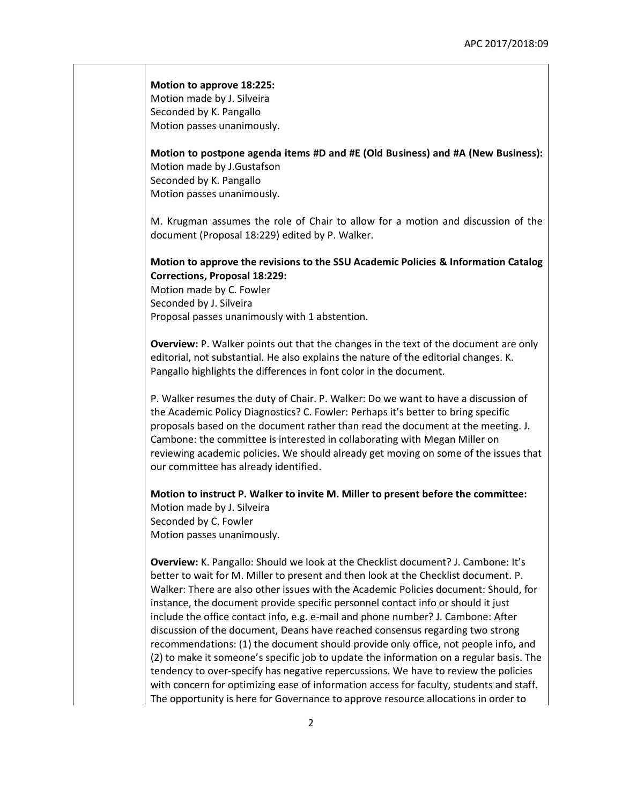## **Motion to approve 18:225:**

Motion made by J. Silveira Seconded by K. Pangallo Motion passes unanimously.

**Motion to postpone agenda items #D and #E (Old Business) and #A (New Business):**  Motion made by J.Gustafson Seconded by K. Pangallo Motion passes unanimously.

M. Krugman assumes the role of Chair to allow for a motion and discussion of the document (Proposal 18:229) edited by P. Walker.

## **Motion to approve the revisions to the SSU Academic Policies & Information Catalog Corrections, Proposal 18:229:**

Motion made by C. Fowler Seconded by J. Silveira Proposal passes unanimously with 1 abstention.

**Overview:** P. Walker points out that the changes in the text of the document are only editorial, not substantial. He also explains the nature of the editorial changes. K. Pangallo highlights the differences in font color in the document.

P. Walker resumes the duty of Chair. P. Walker: Do we want to have a discussion of the Academic Policy Diagnostics? C. Fowler: Perhaps it's better to bring specific proposals based on the document rather than read the document at the meeting. J. Cambone: the committee is interested in collaborating with Megan Miller on reviewing academic policies. We should already get moving on some of the issues that our committee has already identified.

**Motion to instruct P. Walker to invite M. Miller to present before the committee:** Motion made by J. Silveira Seconded by C. Fowler Motion passes unanimously.

**Overview:** K. Pangallo: Should we look at the Checklist document? J. Cambone: It's better to wait for M. Miller to present and then look at the Checklist document. P. Walker: There are also other issues with the Academic Policies document: Should, for instance, the document provide specific personnel contact info or should it just include the office contact info, e.g. e-mail and phone number? J. Cambone: After discussion of the document, Deans have reached consensus regarding two strong recommendations: (1) the document should provide only office, not people info, and (2) to make it someone's specific job to update the information on a regular basis. The tendency to over-specify has negative repercussions. We have to review the policies with concern for optimizing ease of information access for faculty, students and staff. The opportunity is here for Governance to approve resource allocations in order to